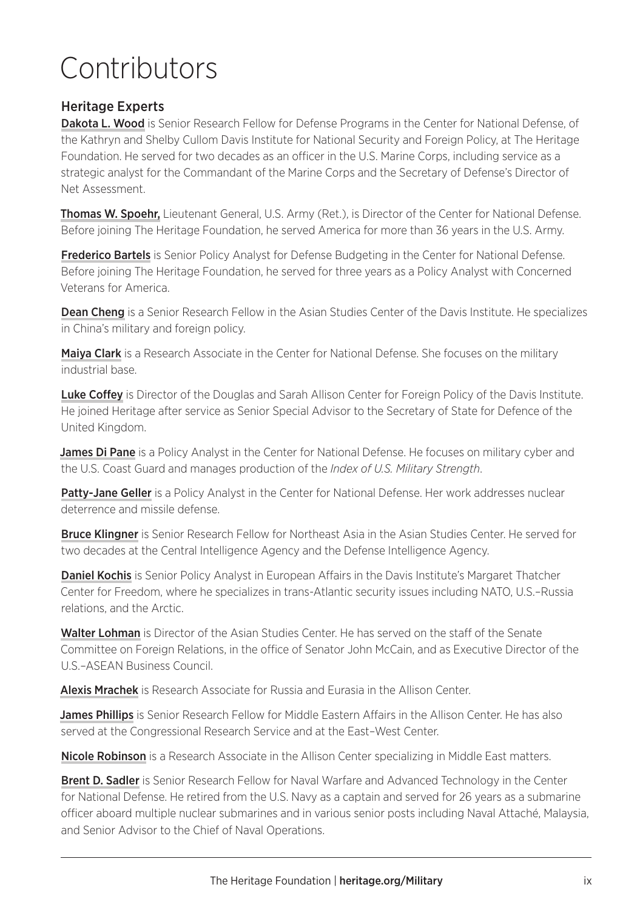## Contributors

## Heritage Experts

Dakota L. Wood is Senior Research Fellow for Defense Programs in the Center for National Defense, of the Kathryn and Shelby Cullom Davis Institute for National Security and Foreign Policy, at The Heritage Foundation. He served for two decades as an officer in the U.S. Marine Corps, including service as a strategic analyst for the Commandant of the Marine Corps and the Secretary of Defense's Director of Net Assessment.

Thomas W. Spoehr, Lieutenant General, U.S. Army (Ret.), is Director of the Center for National Defense. Before joining The Heritage Foundation, he served America for more than 36 years in the U.S. Army.

**Frederico Bartels** is Senior Policy Analyst for Defense Budgeting in the Center for National Defense. Before joining The Heritage Foundation, he served for three years as a Policy Analyst with Concerned Veterans for America.

Dean Cheng is a Senior Research Fellow in the Asian Studies Center of the Davis Institute. He specializes in China's military and foreign policy.

Maiya Clark is a Research Associate in the Center for National Defense. She focuses on the military industrial base.

Luke Coffey is Director of the Douglas and Sarah Allison Center for Foreign Policy of the Davis Institute. He joined Heritage after service as Senior Special Advisor to the Secretary of State for Defence of the United Kingdom.

**James Di Pane** is a Policy Analyst in the Center for National Defense. He focuses on military cyber and the U.S. Coast Guard and manages production of the *Index of U.S. Military Strength*.

Patty-Jane Geller is a Policy Analyst in the Center for National Defense. Her work addresses nuclear deterrence and missile defense.

**Bruce Klingner** is Senior Research Fellow for Northeast Asia in the Asian Studies Center. He served for two decades at the Central Intelligence Agency and the Defense Intelligence Agency.

Daniel Kochis is Senior Policy Analyst in European Affairs in the Davis Institute's Margaret Thatcher Center for Freedom, where he specializes in trans-Atlantic security issues including NATO, U.S.–Russia relations, and the Arctic.

Walter Lohman is Director of the Asian Studies Center. He has served on the staff of the Senate Committee on Foreign Relations, in the office of Senator John McCain, and as Executive Director of the U.S.–ASEAN Business Council.

Alexis Mrachek is Research Associate for Russia and Eurasia in the Allison Center.

James Phillips is Senior Research Fellow for Middle Eastern Affairs in the Allison Center. He has also served at the Congressional Research Service and at the East–West Center.

Nicole Robinson is a Research Associate in the Allison Center specializing in Middle East matters.

Brent D. Sadler is Senior Research Fellow for Naval Warfare and Advanced Technology in the Center for National Defense. He retired from the U.S. Navy as a captain and served for 26 years as a submarine officer aboard multiple nuclear submarines and in various senior posts including Naval Attaché, Malaysia, and Senior Advisor to the Chief of Naval Operations.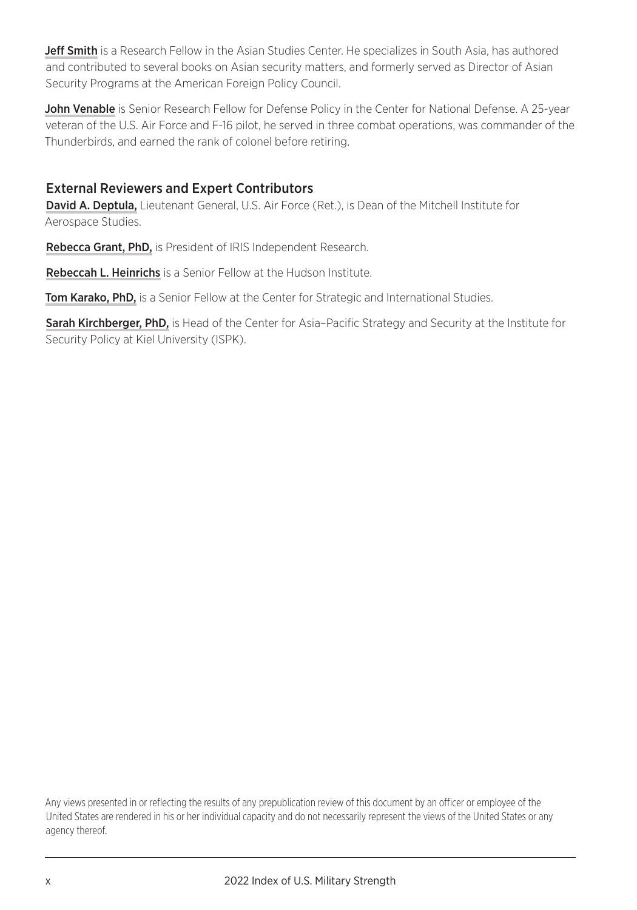Jeff Smith is a Research Fellow in the Asian Studies Center. He specializes in South Asia, has authored and contributed to several books on Asian security matters, and formerly served as Director of Asian Security Programs at the American Foreign Policy Council.

John Venable is Senior Research Fellow for Defense Policy in the Center for National Defense. A 25-year veteran of the U.S. Air Force and F-16 pilot, he served in three combat operations, was commander of the Thunderbirds, and earned the rank of colonel before retiring.

## External Reviewers and Expert Contributors

David A. Deptula, Lieutenant General, U.S. Air Force (Ret.), is Dean of the Mitchell Institute for Aerospace Studies.

Rebecca Grant, PhD, is President of IRIS Independent Research.

**Rebeccah L. Heinrichs** is a Senior Fellow at the Hudson Institute.

Tom Karako, PhD, is a Senior Fellow at the Center for Strategic and International Studies.

Sarah Kirchberger, PhD, is Head of the Center for Asia-Pacific Strategy and Security at the Institute for Security Policy at Kiel University (ISPK).

Any views presented in or reflecting the results of any prepublication review of this document by an officer or employee of the United States are rendered in his or her individual capacity and do not necessarily represent the views of the United States or any agency thereof.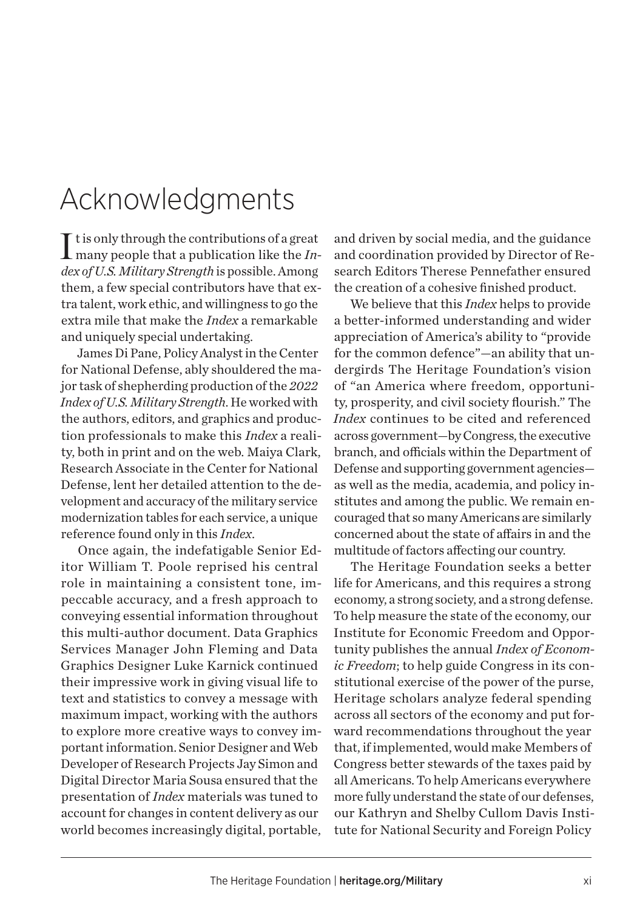## Acknowledgments

 $\prod$ t is only through the contributions of a great many people that a publication like the  $In$ many people that a publication like the *Index of U.S. Military Strength* is possible. Among them, a few special contributors have that extra talent, work ethic, and willingness to go the extra mile that make the *Index* a remarkable and uniquely special undertaking.

James Di Pane, Policy Analyst in the Center for National Defense, ably shouldered the major task of shepherding production of the *2022 Index of U.S. Military Strength*. He worked with the authors, editors, and graphics and production professionals to make this *Index* a reality, both in print and on the web. Maiya Clark, Research Associate in the Center for National Defense, lent her detailed attention to the development and accuracy of the military service modernization tables for each service, a unique reference found only in this *Index*.

Once again, the indefatigable Senior Editor William T. Poole reprised his central role in maintaining a consistent tone, impeccable accuracy, and a fresh approach to conveying essential information throughout this multi-author document. Data Graphics Services Manager John Fleming and Data Graphics Designer Luke Karnick continued their impressive work in giving visual life to text and statistics to convey a message with maximum impact, working with the authors to explore more creative ways to convey important information. Senior Designer and Web Developer of Research Projects Jay Simon and Digital Director Maria Sousa ensured that the presentation of *Index* materials was tuned to account for changes in content delivery as our world becomes increasingly digital, portable,

and driven by social media, and the guidance and coordination provided by Director of Research Editors Therese Pennefather ensured the creation of a cohesive finished product.

We believe that this *Index* helps to provide a better-informed understanding and wider appreciation of America's ability to "provide for the common defence"—an ability that undergirds The Heritage Foundation's vision of "an America where freedom, opportunity, prosperity, and civil society flourish." The *Index* continues to be cited and referenced across government—by Congress, the executive branch, and officials within the Department of Defense and supporting government agencies as well as the media, academia, and policy institutes and among the public. We remain encouraged that so many Americans are similarly concerned about the state of afairs in and the multitude of factors afecting our country.

The Heritage Foundation seeks a better life for Americans, and this requires a strong economy, a strong society, and a strong defense. To help measure the state of the economy, our Institute for Economic Freedom and Opportunity publishes the annual *Index of Economic Freedom*; to help guide Congress in its constitutional exercise of the power of the purse, Heritage scholars analyze federal spending across all sectors of the economy and put forward recommendations throughout the year that, if implemented, would make Members of Congress better stewards of the taxes paid by all Americans. To help Americans everywhere more fully understand the state of our defenses, our Kathryn and Shelby Cullom Davis Institute for National Security and Foreign Policy